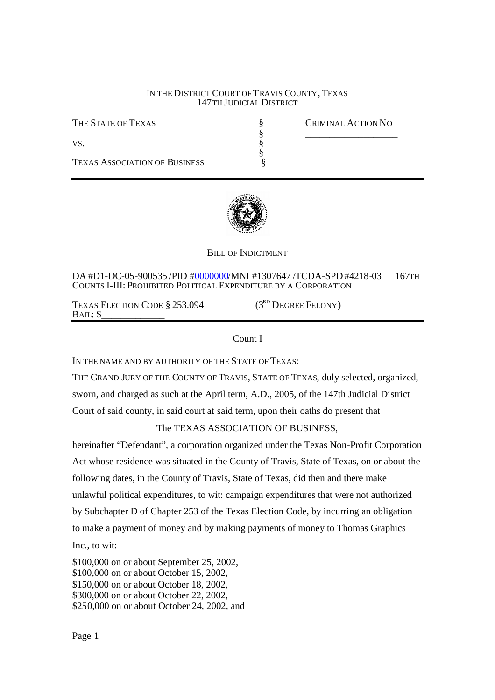#### IN THE DISTRICT COURT OF TRAVIS COUNTY, TEXAS 147TH JUDICIAL DISTRICT

§<br>⊗⊗©∞∞∞

THE STATE OF TEXAS SECTION NO

 $\S$ 

**TEXAS ASSOCIATION OF BUSINESS** 

 $VS$ .



#### BILL OF INDICTMENT

DA #D1-DC-05-900535 /PID #0000000/MNI #1307647 /TCDA-SPD#4218-03 167TH COUNTS I-III: PROHIBITED POLITICAL EXPENDITURE BY A CORPORATION

TEXAS ELECTION CODE  $$253.094$  (3<sup>RD</sup> DEGREE FELONY)  $BAIL:$ 

#### Count I

IN THE NAME AND BY AUTHORITY OF THE STATE OF TEXAS:

THE GRAND JURY OF THE COUNTY OF TRAVIS, STATE OF TEXAS, duly selected, organized, sworn, and charged as such at the April term, A.D., 2005, of the 147th Judicial District Court of said county, in said court at said term, upon their oaths do present that

### The TEXAS ASSOCIATION OF BUSINESS,

hereinafter "Defendant", a corporation organized under the Texas Non-Profit Corporation Act whose residence was situated in the County of Travis, State of Texas, on or about the following dates, in the County of Travis, State of Texas, did then and there make unlawful political expenditures, to wit: campaign expenditures that were not authorized by Subchapter D of Chapter 253 of the Texas Election Code, by incurring an obligation to make a payment of money and by making payments of money to Thomas Graphics Inc., to wit:

\$100,000 on or about September 25, 2002, \$100,000 on or about October 15, 2002, \$150,000 on or about October 18, 2002, \$300,000 on or about October 22, 2002, \$250,000 on or about October 24, 2002, and

Page 1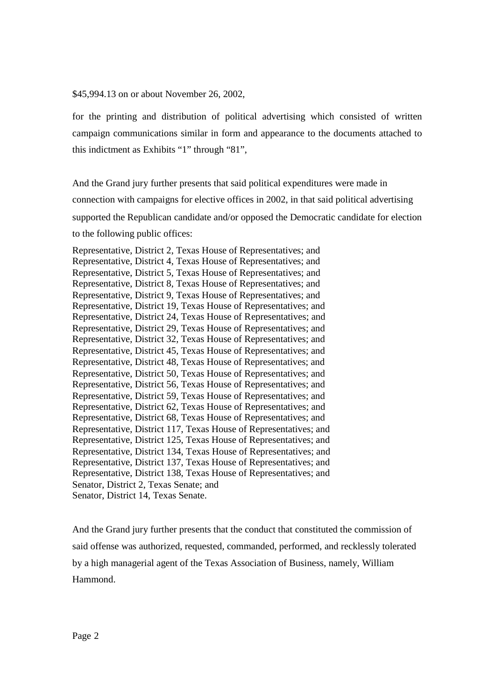\$45,994.13 on or about November 26, 2002,

for the printing and distribution of political advertising which consisted of written campaign communications similar in form and appearance to the documents attached to this indictment as Exhibits "1" through "81",

And the Grand jury further presents that said political expenditures were made in connection with campaigns for elective offices in 2002, in that said political advertising supported the Republican candidate and/or opposed the Democratic candidate for election to the following public offices:

Representative, District 2, Texas House of Representatives; and Representative, District 4, Texas House of Representatives; and Representative, District 5, Texas House of Representatives; and Representative, District 8, Texas House of Representatives; and Representative, District 9, Texas House of Representatives; and Representative, District 19, Texas House of Representatives; and Representative, District 24, Texas House of Representatives; and Representative, District 29, Texas House of Representatives; and Representative, District 32, Texas House of Representatives; and Representative, District 45, Texas House of Representatives; and Representative, District 48, Texas House of Representatives; and Representative, District 50, Texas House of Representatives; and Representative, District 56, Texas House of Representatives; and Representative, District 59, Texas House of Representatives; and Representative, District 62, Texas House of Representatives; and Representative, District 68, Texas House of Representatives; and Representative, District 117, Texas House of Representatives; and Representative, District 125, Texas House of Representatives; and Representative, District 134, Texas House of Representatives; and Representative, District 137, Texas House of Representatives; and Representative, District 138, Texas House of Representatives; and Senator, District 2, Texas Senate; and Senator, District 14, Texas Senate.

And the Grand jury further presents that the conduct that constituted the commission of said offense was authorized, requested, commanded, performed, and recklessly tolerated by a high managerial agent of the Texas Association of Business, namely, William Hammond.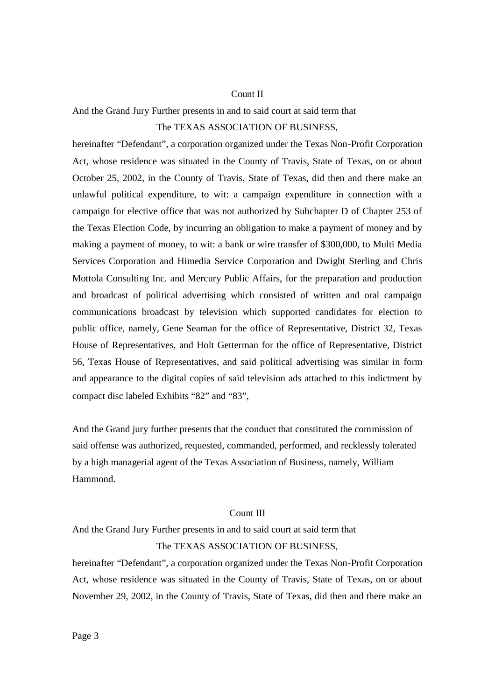### Count II

And the Grand Jury Further presents in and to said court at said term that The TEXAS ASSOCIATION OF BUSINESS,

hereinafter "Defendant", a corporation organized under the Texas Non-Profit Corporation Act, whose residence was situated in the County of Travis, State of Texas, on or about October 25, 2002, in the County of Travis, State of Texas, did then and there make an unlawful political expenditure, to wit: a campaign expenditure in connection with a campaign for elective office that was not authorized by Subchapter D of Chapter 253 of the Texas Election Code, by incurring an obligation to make a payment of money and by making a payment of money, to wit: a bank or wire transfer of \$300,000, to Multi Media Services Corporation and Himedia Service Corporation and Dwight Sterling and Chris Mottola Consulting Inc. and Mercury Public Affairs, for the preparation and production and broadcast of political advertising which consisted of written and oral campaign communications broadcast by television which supported candidates for election to public office, namely, Gene Seaman for the office of Representative, District 32, Texas House of Representatives, and Holt Getterman for the office of Representative, District 56, Texas House of Representatives, and said political advertising was similar in form and appearance to the digital copies of said television ads attached to this indictment by compact disc labeled Exhibits "82" and "83",

And the Grand jury further presents that the conduct that constituted the commission of said offense was authorized, requested, commanded, performed, and recklessly tolerated by a high managerial agent of the Texas Association of Business, namely, William Hammond.

#### Count III

And the Grand Jury Further presents in and to said court at said term that The TEXAS ASSOCIATION OF BUSINESS,

hereinafter "Defendant", a corporation organized under the Texas Non-Profit Corporation Act, whose residence was situated in the County of Travis, State of Texas, on or about November 29, 2002, in the County of Travis, State of Texas, did then and there make an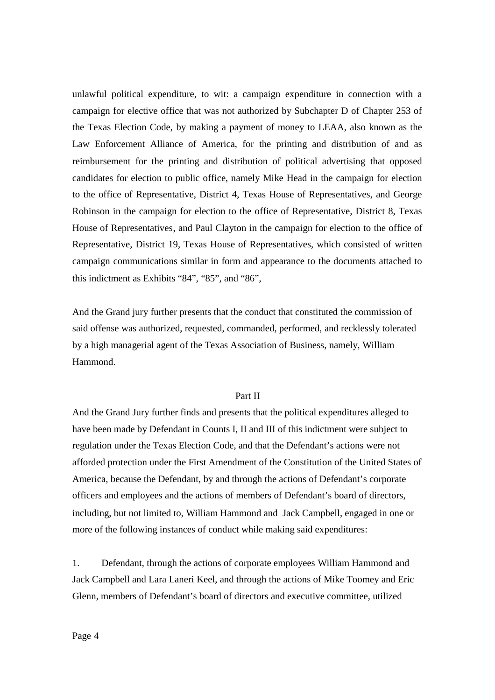unlawful political expenditure, to wit: a campaign expenditure in connection with a campaign for elective office that was not authorized by Subchapter D of Chapter 253 of the Texas Election Code, by making a payment of money to LEAA, also known as the Law Enforcement Alliance of America, for the printing and distribution of and as reimbursement for the printing and distribution of political advertising that opposed candidates for election to public office, namely Mike Head in the campaign for election to the office of Representative, District 4, Texas House of Representatives, and George Robinson in the campaign for election to the office of Representative, District 8, Texas House of Representatives, and Paul Clayton in the campaign for election to the office of Representative, District 19, Texas House of Representatives, which consisted of written campaign communications similar in form and appearance to the documents attached to this indictment as Exhibits "84", "85", and "86",

And the Grand jury further presents that the conduct that constituted the commission of said offense was authorized, requested, commanded, performed, and recklessly tolerated by a high managerial agent of the Texas Association of Business, namely, William Hammond.

# Part II

And the Grand Jury further finds and presents that the political expenditures alleged to have been made by Defendant in Counts I, II and III of this indictment were subject to regulation under the Texas Election Code, and that the Defendant's actions were not afforded protection under the First Amendment of the Constitution of the United States of America, because the Defendant, by and through the actions of Defendant's corporate officers and employees and the actions of members of Defendant's board of directors, including, but not limited to, William Hammond and Jack Campbell, engaged in one or more of the following instances of conduct while making said expenditures:

1. Defendant, through the actions of corporate employees William Hammond and Jack Campbell and Lara Laneri Keel, and through the actions of Mike Toomey and Eric Glenn, members of Defendant's board of directors and executive committee, utilized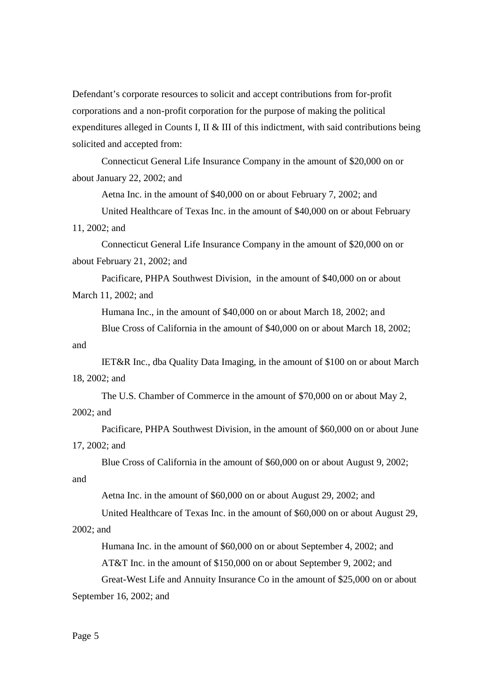Defendant's corporate resources to solicit and accept contributions from for-profit corporations and a non-profit corporation for the purpose of making the political expenditures alleged in Counts I, II & III of this indictment, with said contributions being solicited and accepted from:

Connecticut General Life Insurance Company in the amount of \$20,000 on or about January 22, 2002; and

Aetna Inc. in the amount of \$40,000 on or about February 7, 2002; and

United Healthcare of Texas Inc. in the amount of \$40,000 on or about February 11, 2002; and

Connecticut General Life Insurance Company in the amount of \$20,000 on or about February 21, 2002; and

Pacificare, PHPA Southwest Division, in the amount of \$40,000 on or about March 11, 2002; and

Humana Inc., in the amount of \$40,000 on or about March 18, 2002; and

Blue Cross of California in the amount of \$40,000 on or about March 18, 2002; and

IET&R Inc., dba Quality Data Imaging, in the amount of \$100 on or about March 18, 2002; and

The U.S. Chamber of Commerce in the amount of \$70,000 on or about May 2,

### 2002; and

Pacificare, PHPA Southwest Division, in the amount of \$60,000 on or about June 17, 2002; and

Blue Cross of California in the amount of \$60,000 on or about August 9, 2002;

# and

Aetna Inc. in the amount of \$60,000 on or about August 29, 2002; and

United Healthcare of Texas Inc. in the amount of \$60,000 on or about August 29,

# 2002; and

Humana Inc. in the amount of \$60,000 on or about September 4, 2002; and

AT&T Inc. in the amount of \$150,000 on or about September 9, 2002; and

Great-West Life and Annuity Insurance Co in the amount of \$25,000 on or about

September 16, 2002; and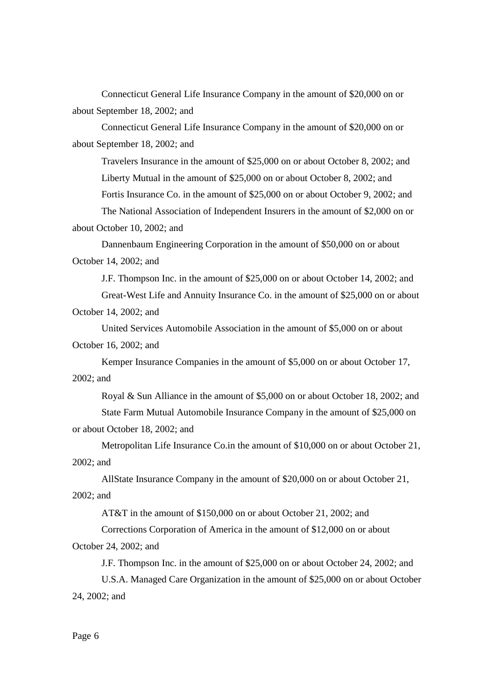Connecticut General Life Insurance Company in the amount of \$20,000 on or about September 18, 2002; and

Connecticut General Life Insurance Company in the amount of \$20,000 on or about September 18, 2002; and

Travelers Insurance in the amount of \$25,000 on or about October 8, 2002; and Liberty Mutual in the amount of \$25,000 on or about October 8, 2002; and Fortis Insurance Co. in the amount of \$25,000 on or about October 9, 2002; and The National Association of Independent Insurers in the amount of \$2,000 on or

about October 10, 2002; and

Dannenbaum Engineering Corporation in the amount of \$50,000 on or about October 14, 2002; and

J.F. Thompson Inc. in the amount of \$25,000 on or about October 14, 2002; and Great-West Life and Annuity Insurance Co. in the amount of \$25,000 on or about October 14, 2002; and

United Services Automobile Association in the amount of \$5,000 on or about October 16, 2002; and

Kemper Insurance Companies in the amount of \$5,000 on or about October 17, 2002; and

Royal & Sun Alliance in the amount of \$5,000 on or about October 18, 2002; and

State Farm Mutual Automobile Insurance Company in the amount of \$25,000 on or about October 18, 2002; and

Metropolitan Life Insurance Co.in the amount of \$10,000 on or about October 21, 2002; and

AllState Insurance Company in the amount of \$20,000 on or about October 21, 2002; and

AT&T in the amount of \$150,000 on or about October 21, 2002; and

Corrections Corporation of America in the amount of \$12,000 on or about October 24, 2002; and

J.F. Thompson Inc. in the amount of \$25,000 on or about October 24, 2002; and

U.S.A. Managed Care Organization in the amount of \$25,000 on or about October 24, 2002; and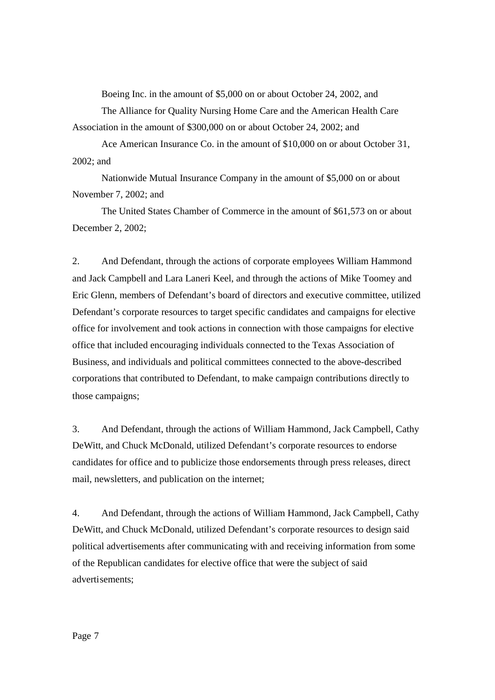Boeing Inc. in the amount of \$5,000 on or about October 24, 2002, and

The Alliance for Quality Nursing Home Care and the American Health Care Association in the amount of \$300,000 on or about October 24, 2002; and

Ace American Insurance Co. in the amount of \$10,000 on or about October 31, 2002; and

Nationwide Mutual Insurance Company in the amount of \$5,000 on or about November 7, 2002; and

The United States Chamber of Commerce in the amount of \$61,573 on or about December 2, 2002;

2. And Defendant, through the actions of corporate employees William Hammond and Jack Campbell and Lara Laneri Keel, and through the actions of Mike Toomey and Eric Glenn, members of Defendant's board of directors and executive committee, utilized Defendant's corporate resources to target specific candidates and campaigns for elective office for involvement and took actions in connection with those campaigns for elective office that included encouraging individuals connected to the Texas Association of Business, and individuals and political committees connected to the above-described corporations that contributed to Defendant, to make campaign contributions directly to those campaigns;

3. And Defendant, through the actions of William Hammond, Jack Campbell, Cathy DeWitt, and Chuck McDonald, utilized Defendant's corporate resources to endorse candidates for office and to publicize those endorsements through press releases, direct mail, newsletters, and publication on the internet;

4. And Defendant, through the actions of William Hammond, Jack Campbell, Cathy DeWitt, and Chuck McDonald, utilized Defendant's corporate resources to design said political advertisements after communicating with and receiving information from some of the Republican candidates for elective office that were the subject of said advertisements;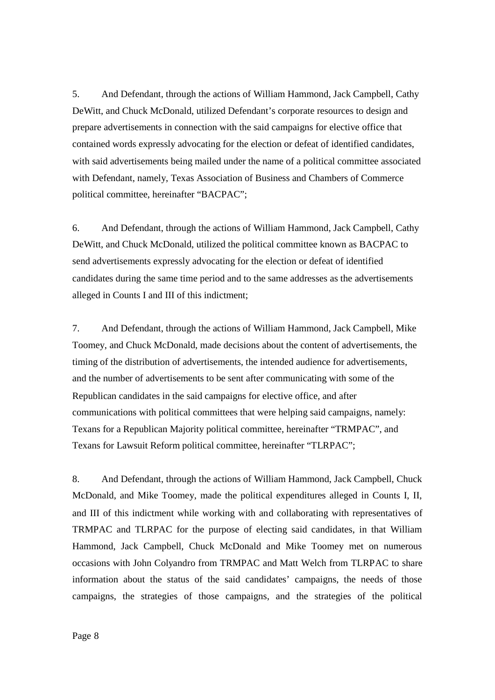5. And Defendant, through the actions of William Hammond, Jack Campbell, Cathy DeWitt, and Chuck McDonald, utilized Defendant's corporate resources to design and prepare advertisements in connection with the said campaigns for elective office that contained words expressly advocating for the election or defeat of identified candidates, with said advertisements being mailed under the name of a political committee associated with Defendant, namely, Texas Association of Business and Chambers of Commerce political committee, hereinafter "BACPAC";

6. And Defendant, through the actions of William Hammond, Jack Campbell, Cathy DeWitt, and Chuck McDonald, utilized the political committee known as BACPAC to send advertisements expressly advocating for the election or defeat of identified candidates during the same time period and to the same addresses as the advertisements alleged in Counts I and III of this indictment;

7. And Defendant, through the actions of William Hammond, Jack Campbell, Mike Toomey, and Chuck McDonald, made decisions about the content of advertisements, the timing of the distribution of advertisements, the intended audience for advertisements, and the number of advertisements to be sent after communicating with some of the Republican candidates in the said campaigns for elective office, and after communications with political committees that were helping said campaigns, namely: Texans for a Republican Majority political committee, hereinafter "TRMPAC", and Texans for Lawsuit Reform political committee, hereinafter "TLRPAC";

8. And Defendant, through the actions of William Hammond, Jack Campbell, Chuck McDonald, and Mike Toomey, made the political expenditures alleged in Counts I, II, and III of this indictment while working with and collaborating with representatives of TRMPAC and TLRPAC for the purpose of electing said candidates, in that William Hammond, Jack Campbell, Chuck McDonald and Mike Toomey met on numerous occasions with John Colyandro from TRMPAC and Matt Welch from TLRPAC to share information about the status of the said candidates' campaigns, the needs of those campaigns, the strategies of those campaigns, and the strategies of the political